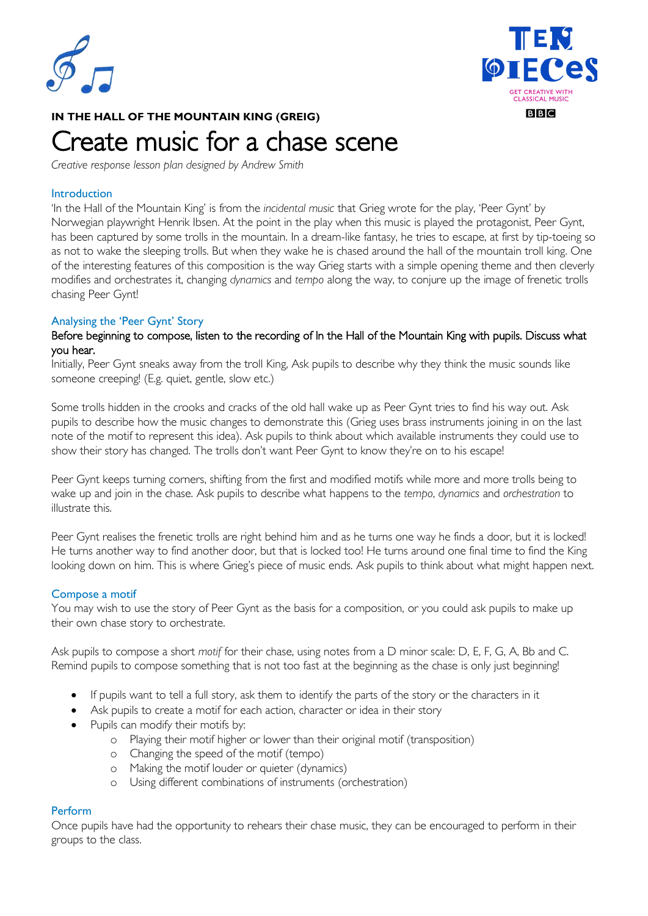



## **IN THE HALL OF THE MOUNTAIN KING (GREIG)**

# Create music for a chase scene

*Creative response lesson plan designed by Andrew Smith*

#### **Introduction**

'In the Hall of the Mountain King' is from the *incidental music* that Grieg wrote for the play, 'Peer Gynt' by Norwegian playwright Henrik Ibsen. At the point in the play when this music is played the protagonist, Peer Gynt, has been captured by some trolls in the mountain. In a dream-like fantasy, he tries to escape, at first by tip-toeing so as not to wake the sleeping trolls. But when they wake he is chased around the hall of the mountain troll king. One of the interesting features of this composition is the way Grieg starts with a simple opening theme and then cleverly modifies and orchestrates it, changing *dynamics* and *tempo* along the way, to conjure up the image of frenetic trolls chasing Peer Gynt!

## Analysing the 'Peer Gynt' Story

#### Before beginning to compose, listen to the recording of In the Hall of the Mountain King with pupils. Discuss what you hear.

Initially, Peer Gynt sneaks away from the troll King, Ask pupils to describe why they think the music sounds like someone creeping! (E.g. quiet, gentle, slow etc.)

Some trolls hidden in the crooks and cracks of the old hall wake up as Peer Gynt tries to find his way out. Ask pupils to describe how the music changes to demonstrate this (Grieg uses brass instruments joining in on the last note of the motif to represent this idea). Ask pupils to think about which available instruments they could use to show their story has changed. The trolls don't want Peer Gynt to know they're on to his escape!

Peer Gynt keeps turning corners, shifting from the first and modified motifs while more and more trolls being to wake up and join in the chase. Ask pupils to describe what happens to the *tempo*, *dynamics* and *orchestration* to illustrate this.

Peer Gynt realises the frenetic trolls are right behind him and as he turns one way he finds a door, but it is locked! He turns another way to find another door, but that is locked too! He turns around one final time to find the King looking down on him. This is where Grieg's piece of music ends. Ask pupils to think about what might happen next.

#### Compose a motif

You may wish to use the story of Peer Gynt as the basis for a composition, or you could ask pupils to make up their own chase story to orchestrate.

Ask pupils to compose a short *motif* for their chase, using notes from a D minor scale: D, E, F, G, A, Bb and C. Remind pupils to compose something that is not too fast at the beginning as the chase is only just beginning!

- If pupils want to tell a full story, ask them to identify the parts of the story or the characters in it
- Ask pupils to create a motif for each action, character or idea in their story
- Pupils can modify their motifs by:
	- o Playing their motif higher or lower than their original motif (transposition)
	- o Changing the speed of the motif (tempo)
	- o Making the motif louder or quieter (dynamics)
	- o Using different combinations of instruments (orchestration)

## Perform

Once pupils have had the opportunity to rehears their chase music, they can be encouraged to perform in their groups to the class.